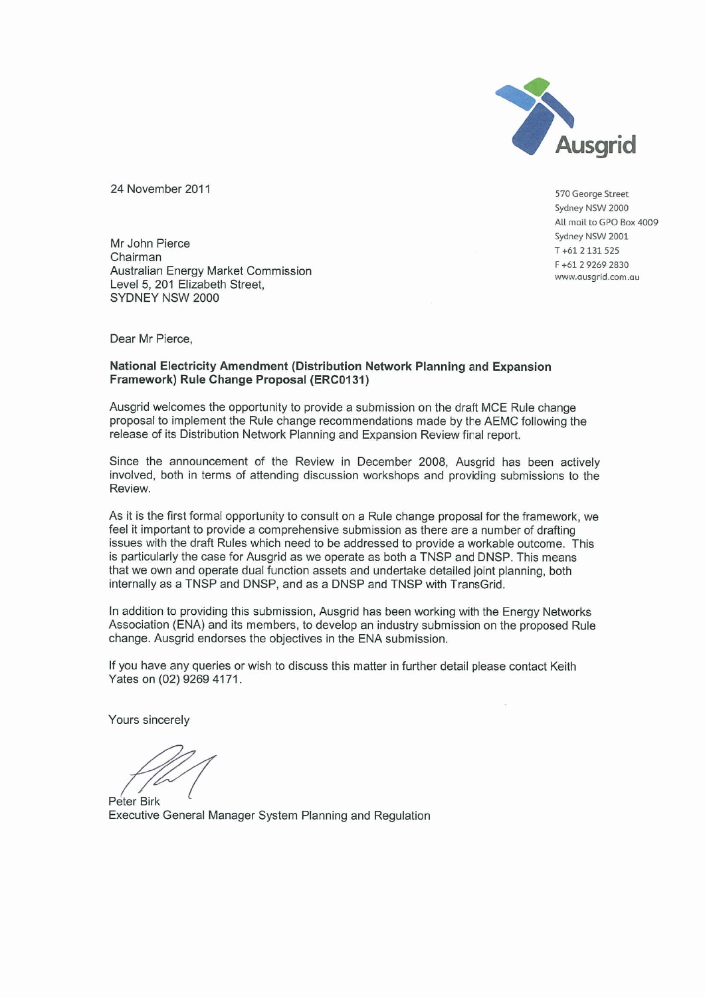

24 November 2011

570 George Street Sydney NSW 2000 All mail to GPO Box 4009 Sydney NSW 2001  $T + 612131525$ F+61 29269 2830 www.ausgrid.com.au

Mr John Pierce Chairman Australian Energy Market Commission Level 5, 201 Elizabeth Street. SYDNEY NSW 2000

Dear Mr Pierce.

# National Electricity Amendment (Distribution Network Planning and Expansion Framework) Rule Change Proposal (ERC0131)

Ausgrid welcomes the opportunity to provide a submission on the draft MCE Rule change proposal to implement the Rule change recommendations made by the AEMC following the release of its Distribution Network Planning and Expansion Review final report.

Since the announcement of the Review in December 2008, Ausgrid has been actively involved, both in terms of attending discussion workshops and providing submissions to the Review.

As it is the first formal opportunity to consult on a Rule change proposal for the framework, we feel it important to provide a comprehensive submission as there are a number of drafting issues with the draft Rules which need to be addressed to provide a workable outcome. This is particularly the case for Ausgrid as we operate as both a TNSP and DNSP. This means that we own and operate dual function assets and undertake detailed joint planning, both internally as a TNSP and DNSP, and as a DNSP and TNSP with TransGrid.

In addition to providing this submission, Ausgrid has been working with the Energy Networks Association (ENA) and its members, to develop an industry submission on the proposed Rule change. Ausgrid endorses the objectives in the ENA submission.

If you have any queries or wish to discuss this matter in further detail please contact Keith Yates on (02) 9269 4171.

Yours sincerely

Peter Birk Executive General Manager System Planning and Regulation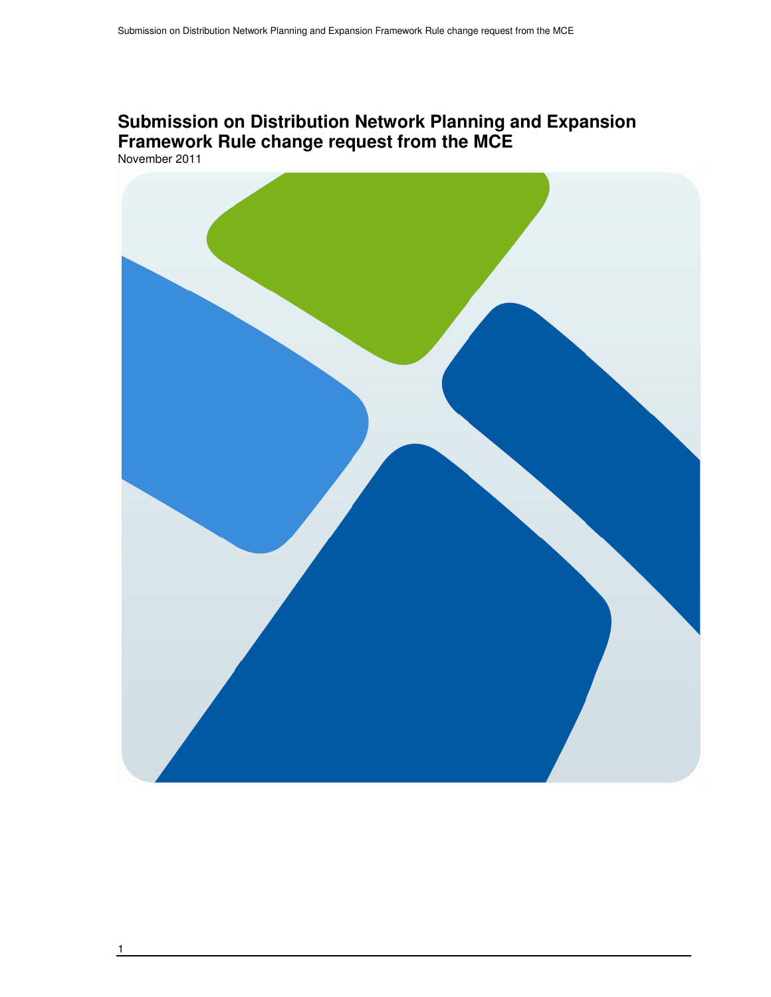# **Submission on Distribution Network Planning and Expansion Framework Rule change request from the MCE**  November 2011

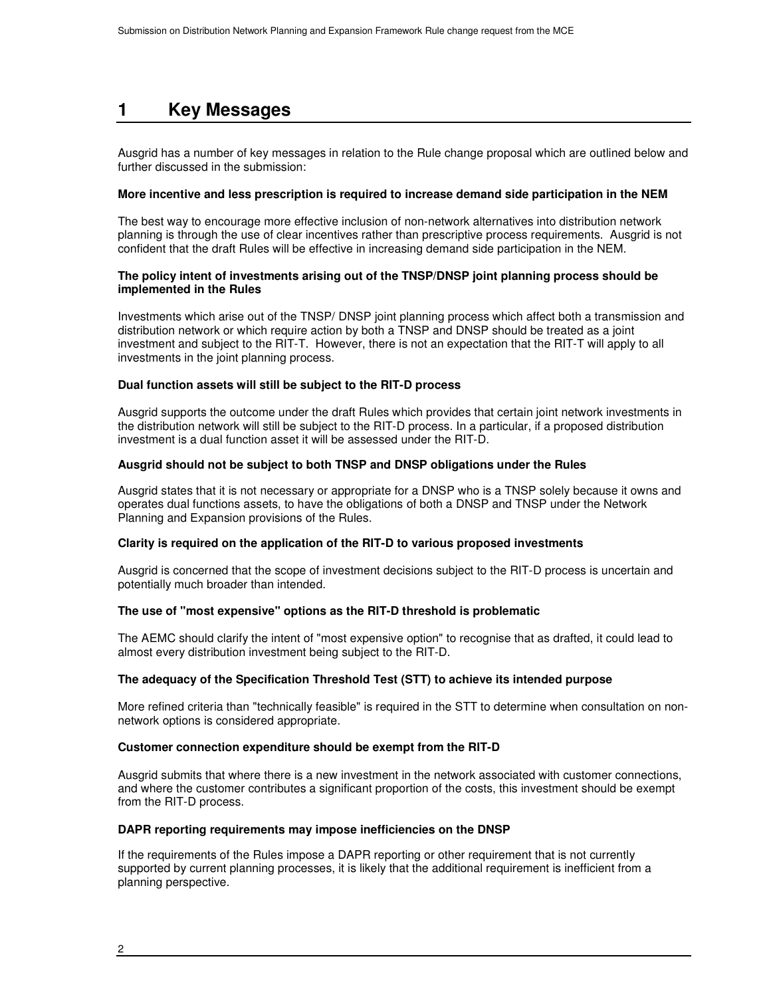# **1 Key Messages**

Ausgrid has a number of key messages in relation to the Rule change proposal which are outlined below and further discussed in the submission:

# **More incentive and less prescription is required to increase demand side participation in the NEM**

The best way to encourage more effective inclusion of non-network alternatives into distribution network planning is through the use of clear incentives rather than prescriptive process requirements. Ausgrid is not confident that the draft Rules will be effective in increasing demand side participation in the NEM.

# **The policy intent of investments arising out of the TNSP/DNSP joint planning process should be implemented in the Rules**

Investments which arise out of the TNSP/ DNSP joint planning process which affect both a transmission and distribution network or which require action by both a TNSP and DNSP should be treated as a joint investment and subject to the RIT-T. However, there is not an expectation that the RIT-T will apply to all investments in the joint planning process.

# **Dual function assets will still be subject to the RIT-D process**

Ausgrid supports the outcome under the draft Rules which provides that certain joint network investments in the distribution network will still be subject to the RIT-D process. In a particular, if a proposed distribution investment is a dual function asset it will be assessed under the RIT-D.

### **Ausgrid should not be subject to both TNSP and DNSP obligations under the Rules**

Ausgrid states that it is not necessary or appropriate for a DNSP who is a TNSP solely because it owns and operates dual functions assets, to have the obligations of both a DNSP and TNSP under the Network Planning and Expansion provisions of the Rules.

# **Clarity is required on the application of the RIT-D to various proposed investments**

Ausgrid is concerned that the scope of investment decisions subject to the RIT-D process is uncertain and potentially much broader than intended.

# **The use of "most expensive" options as the RIT-D threshold is problematic**

The AEMC should clarify the intent of "most expensive option" to recognise that as drafted, it could lead to almost every distribution investment being subject to the RIT-D.

# **The adequacy of the Specification Threshold Test (STT) to achieve its intended purpose**

More refined criteria than "technically feasible" is required in the STT to determine when consultation on nonnetwork options is considered appropriate.

### **Customer connection expenditure should be exempt from the RIT-D**

Ausgrid submits that where there is a new investment in the network associated with customer connections, and where the customer contributes a significant proportion of the costs, this investment should be exempt from the RIT-D process.

### **DAPR reporting requirements may impose inefficiencies on the DNSP**

If the requirements of the Rules impose a DAPR reporting or other requirement that is not currently supported by current planning processes, it is likely that the additional requirement is inefficient from a planning perspective.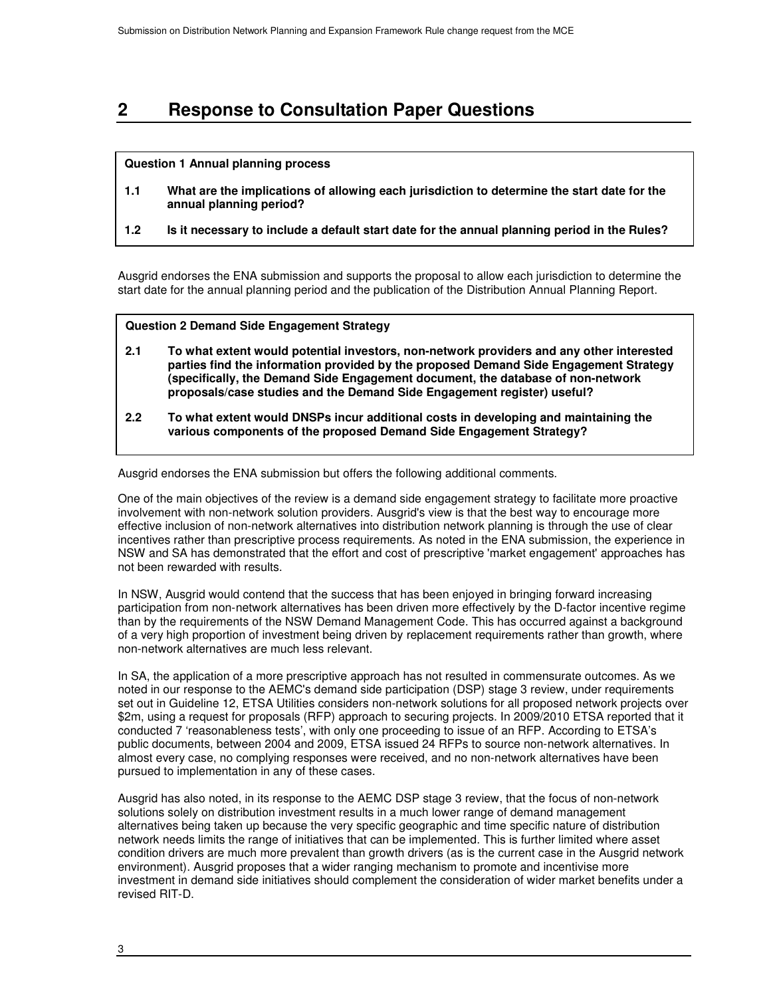# **2 Response to Consultation Paper Questions**

### **Question 1 Annual planning process**

- **1.1 What are the implications of allowing each jurisdiction to determine the start date for the annual planning period?**
- **1.2 Is it necessary to include a default start date for the annual planning period in the Rules?**

Ausgrid endorses the ENA submission and supports the proposal to allow each jurisdiction to determine the start date for the annual planning period and the publication of the Distribution Annual Planning Report.

# **Question 2 Demand Side Engagement Strategy**

- **Ausgrid endorses the ENA submission but offers the following additional comments. proposals/case studies and the Demand Side Engagement register) useful? 2.1 To what extent would potential investors, non-network providers and any other interested parties find the information provided by the proposed Demand Side Engagement Strategy (specifically, the Demand Side Engagement document, the database of non-network**
- **2.2 To what extent would DNSPs incur additional costs in developing and maintaining the various components of the proposed Demand Side Engagement Strategy?**

Ausgrid endorses the ENA submission but offers the following additional comments.

One of the main objectives of the review is a demand side engagement strategy to facilitate more proactive involvement with non-network solution providers. Ausgrid's view is that the best way to encourage more effective inclusion of non-network alternatives into distribution network planning is through the use of clear incentives rather than prescriptive process requirements. As noted in the ENA submission, the experience in NSW and SA has demonstrated that the effort and cost of prescriptive 'market engagement' approaches has not been rewarded with results.

In NSW, Ausgrid would contend that the success that has been enjoyed in bringing forward increasing participation from non-network alternatives has been driven more effectively by the D-factor incentive regime than by the requirements of the NSW Demand Management Code. This has occurred against a background of a very high proportion of investment being driven by replacement requirements rather than growth, where non-network alternatives are much less relevant.

In SA, the application of a more prescriptive approach has not resulted in commensurate outcomes. As we noted in our response to the AEMC's demand side participation (DSP) stage 3 review, under requirements set out in Guideline 12, ETSA Utilities considers non-network solutions for all proposed network projects over \$2m, using a request for proposals (RFP) approach to securing projects. In 2009/2010 ETSA reported that it conducted 7 'reasonableness tests', with only one proceeding to issue of an RFP. According to ETSA's public documents, between 2004 and 2009, ETSA issued 24 RFPs to source non-network alternatives. In almost every case, no complying responses were received, and no non-network alternatives have been pursued to implementation in any of these cases.

Ausgrid has also noted, in its response to the AEMC DSP stage 3 review, that the focus of non-network solutions solely on distribution investment results in a much lower range of demand management alternatives being taken up because the very specific geographic and time specific nature of distribution network needs limits the range of initiatives that can be implemented. This is further limited where asset condition drivers are much more prevalent than growth drivers (as is the current case in the Ausgrid network environment). Ausgrid proposes that a wider ranging mechanism to promote and incentivise more investment in demand side initiatives should complement the consideration of wider market benefits under a revised RIT-D.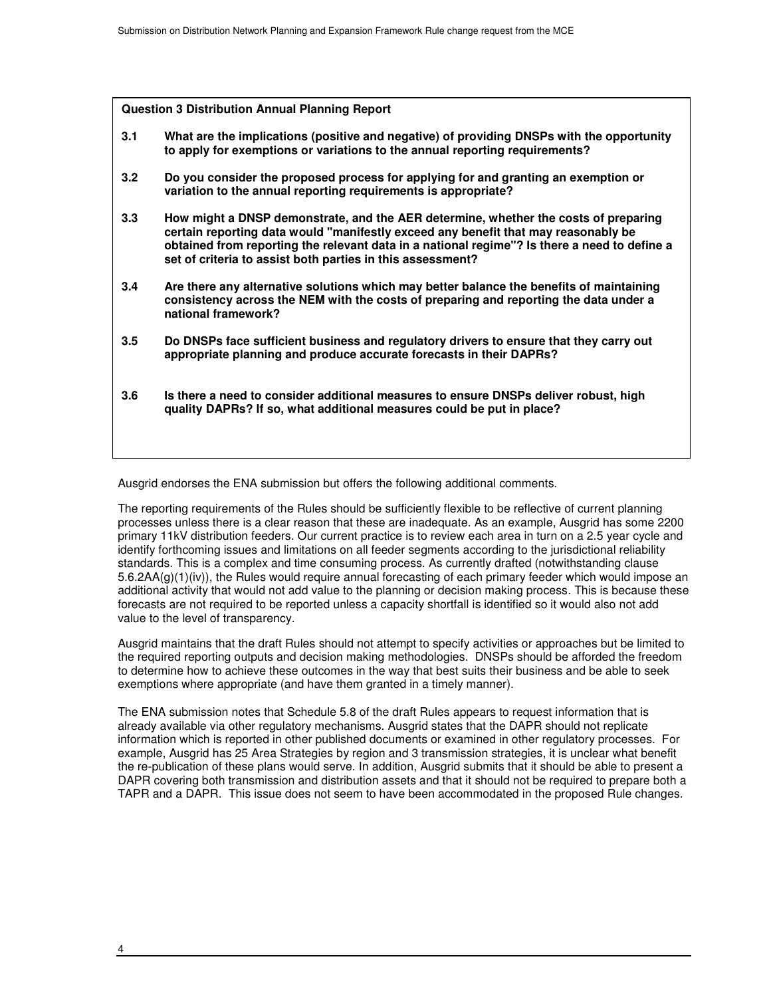**Question 3 Distribution Annual Planning Report**

- **3.1 What are the implications (positive and negative) of providing DNSPs with the opportunity to apply for exemptions or variations to the annual reporting requirements?**
- **3.2 Do you consider the proposed process for applying for and granting an exemption or variation to the annual reporting requirements is appropriate?**
- **3.3 How might a DNSP demonstrate, and the AER determine, whether the costs of preparing certain reporting data would "manifestly exceed any benefit that may reasonably be obtained from reporting the relevant data in a national regime"? Is there a need to define a set of criteria to assist both parties in this assessment?**
- **3.4 Are there any alternative solutions which may better balance the benefits of maintaining consistency across the NEM with the costs of preparing and reporting the data under a national framework?**
- **3.5 Do DNSPs face sufficient business and regulatory drivers to ensure that they carry out appropriate planning and produce accurate forecasts in their DAPRs?**
- **3.6 Is there a need to consider additional measures to ensure DNSPs deliver robust, high quality DAPRs? If so, what additional measures could be put in place?**

Ausgrid endorses the ENA submission but offers the following additional comments.

The reporting requirements of the Rules should be sufficiently flexible to be reflective of current planning processes unless there is a clear reason that these are inadequate. As an example, Ausgrid has some 2200 primary 11kV distribution feeders. Our current practice is to review each area in turn on a 2.5 year cycle and identify forthcoming issues and limitations on all feeder segments according to the jurisdictional reliability standards. This is a complex and time consuming process. As currently drafted (notwithstanding clause 5.6.2AA(g)(1)(iv)), the Rules would require annual forecasting of each primary feeder which would impose an additional activity that would not add value to the planning or decision making process. This is because these forecasts are not required to be reported unless a capacity shortfall is identified so it would also not add value to the level of transparency.

Ausgrid maintains that the draft Rules should not attempt to specify activities or approaches but be limited to the required reporting outputs and decision making methodologies. DNSPs should be afforded the freedom to determine how to achieve these outcomes in the way that best suits their business and be able to seek exemptions where appropriate (and have them granted in a timely manner).

The ENA submission notes that Schedule 5.8 of the draft Rules appears to request information that is already available via other regulatory mechanisms. Ausgrid states that the DAPR should not replicate information which is reported in other published documents or examined in other regulatory processes. For example, Ausgrid has 25 Area Strategies by region and 3 transmission strategies, it is unclear what benefit the re-publication of these plans would serve. In addition, Ausgrid submits that it should be able to present a DAPR covering both transmission and distribution assets and that it should not be required to prepare both a TAPR and a DAPR. This issue does not seem to have been accommodated in the proposed Rule changes.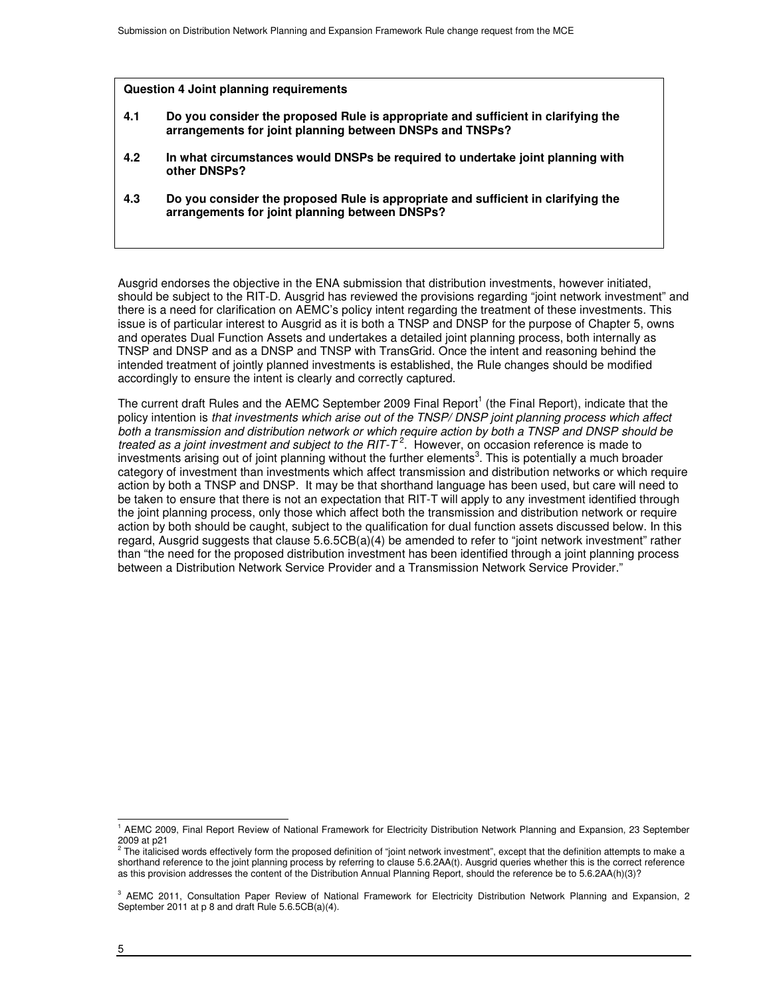#### **Question 4 Joint planning requirements**

- **4.1 Do you consider the proposed Rule is appropriate and sufficient in clarifying the arrangements for joint planning between DNSPs and TNSPs?**
- **4.2 In what circumstances would DNSPs be required to undertake joint planning with other DNSPs?**
- **4.3 Do you consider the proposed Rule is appropriate and sufficient in clarifying the arrangements for joint planning between DNSPs?**

Ausgrid endorses the objective in the ENA submission that distribution investments, however initiated, should be subject to the RIT-D. Ausgrid has reviewed the provisions regarding "joint network investment" and there is a need for clarification on AEMC's policy intent regarding the treatment of these investments. This issue is of particular interest to Ausgrid as it is both a TNSP and DNSP for the purpose of Chapter 5, owns and operates Dual Function Assets and undertakes a detailed joint planning process, both internally as TNSP and DNSP and as a DNSP and TNSP with TransGrid. Once the intent and reasoning behind the intended treatment of jointly planned investments is established, the Rule changes should be modified accordingly to ensure the intent is clearly and correctly captured.

The current draft Rules and the AEMC September 2009 Final Report<sup>1</sup> (the Final Report), indicate that the policy intention is that investments which arise out of the TNSP/ DNSP joint planning process which affect both a transmission and distribution network or which require action by both a TNSP and DNSP should be treated as a joint investment and subject to the RIT-T<sup>2</sup>. However, on occasion reference is made to investments arising out of joint planning without the further elements<sup>3</sup>. This is potentially a much broader category of investment than investments which affect transmission and distribution networks or which require action by both a TNSP and DNSP. It may be that shorthand language has been used, but care will need to be taken to ensure that there is not an expectation that RIT-T will apply to any investment identified through the joint planning process, only those which affect both the transmission and distribution network or require action by both should be caught, subject to the qualification for dual function assets discussed below. In this regard, Ausgrid suggests that clause 5.6.5CB(a)(4) be amended to refer to "joint network investment" rather than "the need for the proposed distribution investment has been identified through a joint planning process between a Distribution Network Service Provider and a Transmission Network Service Provider."

 1 AEMC 2009, Final Report Review of National Framework for Electricity Distribution Network Planning and Expansion, 23 September 2009 at p21<br><sup>2</sup> The italiaia

The italicised words effectively form the proposed definition of "joint network investment", except that the definition attempts to make a shorthand reference to the joint planning process by referring to clause 5.6.2AA(t). Ausgrid queries whether this is the correct reference as this provision addresses the content of the Distribution Annual Planning Report, should the reference be to 5.6.2AA(h)(3)?

<sup>&</sup>lt;sup>3</sup> AEMC 2011, Consultation Paper Review of National Framework for Electricity Distribution Network Planning and Expansion, 2 September 2011 at p 8 and draft Rule 5.6.5CB(a)(4).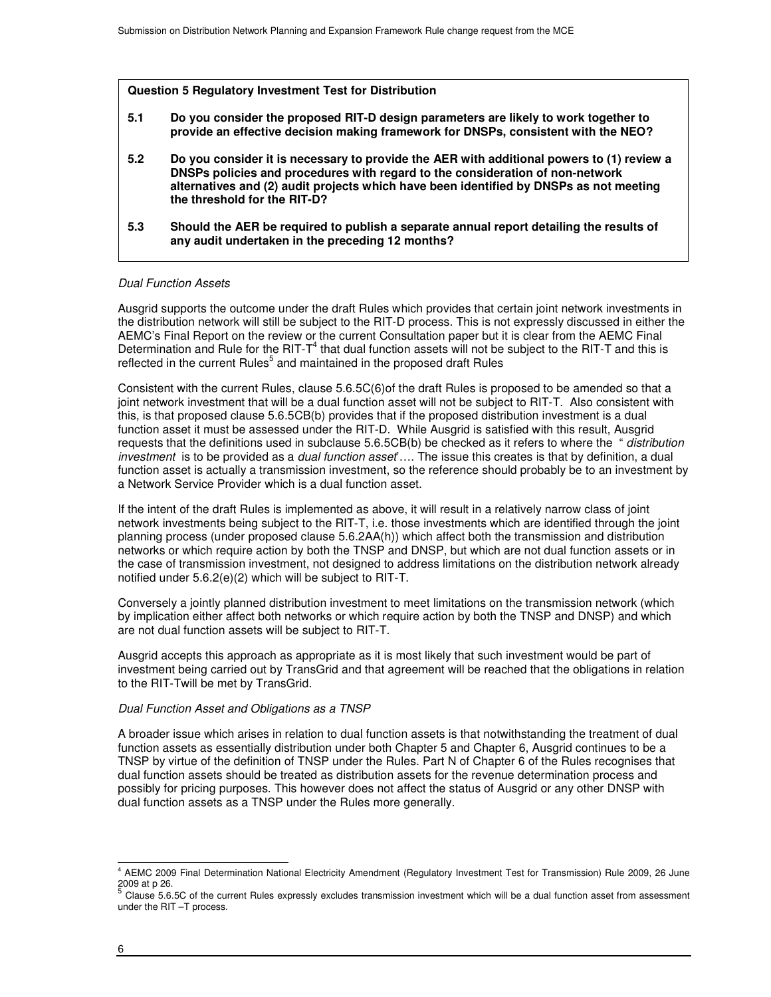**Question 5 Regulatory Investment Test for Distribution** 

- **5.1 Do you consider the proposed RIT-D design parameters are likely to work together to provide an effective decision making framework for DNSPs, consistent with the NEO?**
- **5.2 Do you consider it is necessary to provide the AER with additional powers to (1) review a DNSPs policies and procedures with regard to the consideration of non-network alternatives and (2) audit projects which have been identified by DNSPs as not meeting the threshold for the RIT-D?**
- **5.3 Should the AER be required to publish a separate annual report detailing the results of any audit undertaken in the preceding 12 months?**

# Dual Function Assets

Ausgrid supports the outcome under the draft Rules which provides that certain joint network investments in the distribution network will still be subject to the RIT-D process. This is not expressly discussed in either the AEMC's Final Report on the review or the current Consultation paper but it is clear from the AEMC Final Determination and Rule for the RIT-T<sup>4</sup> that dual function assets will not be subject to the RIT-T and this is reflected in the current Rules<sup>5</sup> and maintained in the proposed draft Rules

Consistent with the current Rules, clause 5.6.5C(6)of the draft Rules is proposed to be amended so that a joint network investment that will be a dual function asset will not be subject to RIT-T. Also consistent with this, is that proposed clause 5.6.5CB(b) provides that if the proposed distribution investment is a dual function asset it must be assessed under the RIT-D. While Ausgrid is satisfied with this result, Ausgrid requests that the definitions used in subclause 5.6.5CB(b) be checked as it refers to where the " distribution investment is to be provided as a dual function asset .... The issue this creates is that by definition, a dual function asset is actually a transmission investment, so the reference should probably be to an investment by a Network Service Provider which is a dual function asset.

If the intent of the draft Rules is implemented as above, it will result in a relatively narrow class of joint network investments being subject to the RIT-T, i.e. those investments which are identified through the joint planning process (under proposed clause 5.6.2AA(h)) which affect both the transmission and distribution networks or which require action by both the TNSP and DNSP, but which are not dual function assets or in the case of transmission investment, not designed to address limitations on the distribution network already notified under 5.6.2(e)(2) which will be subject to RIT-T.

Conversely a jointly planned distribution investment to meet limitations on the transmission network (which by implication either affect both networks or which require action by both the TNSP and DNSP) and which are not dual function assets will be subject to RIT-T.

Ausgrid accepts this approach as appropriate as it is most likely that such investment would be part of investment being carried out by TransGrid and that agreement will be reached that the obligations in relation to the RIT-Twill be met by TransGrid.

### Dual Function Asset and Obligations as a TNSP

A broader issue which arises in relation to dual function assets is that notwithstanding the treatment of dual function assets as essentially distribution under both Chapter 5 and Chapter 6, Ausgrid continues to be a TNSP by virtue of the definition of TNSP under the Rules. Part N of Chapter 6 of the Rules recognises that dual function assets should be treated as distribution assets for the revenue determination process and possibly for pricing purposes. This however does not affect the status of Ausgrid or any other DNSP with dual function assets as a TNSP under the Rules more generally.

 4 AEMC 2009 Final Determination National Electricity Amendment (Regulatory Investment Test for Transmission) Rule 2009, 26 June 2009 at p 26.<br><sup>5</sup> Clause 5.6.5C of the current Rules expressly excludes transmission investment which will be a dual function asset from assessment

under the RIT –T process.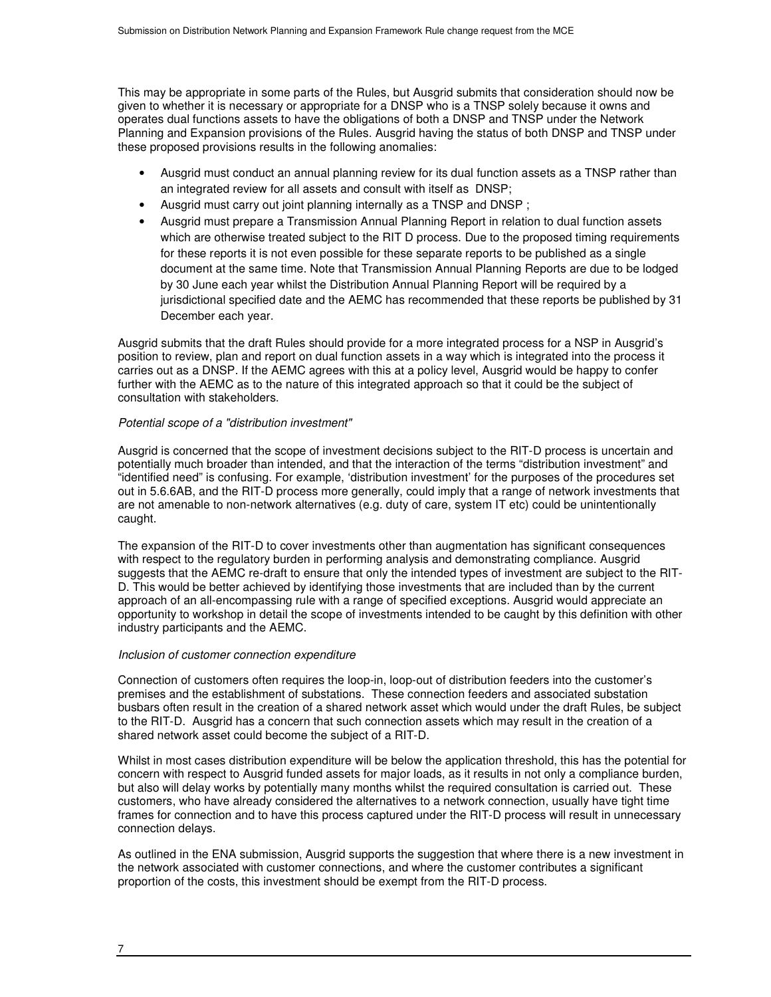This may be appropriate in some parts of the Rules, but Ausgrid submits that consideration should now be given to whether it is necessary or appropriate for a DNSP who is a TNSP solely because it owns and operates dual functions assets to have the obligations of both a DNSP and TNSP under the Network Planning and Expansion provisions of the Rules. Ausgrid having the status of both DNSP and TNSP under these proposed provisions results in the following anomalies:

- Ausgrid must conduct an annual planning review for its dual function assets as a TNSP rather than an integrated review for all assets and consult with itself as DNSP;
- Ausgrid must carry out joint planning internally as a TNSP and DNSP ;
- Ausgrid must prepare a Transmission Annual Planning Report in relation to dual function assets which are otherwise treated subject to the RIT D process. Due to the proposed timing requirements for these reports it is not even possible for these separate reports to be published as a single document at the same time. Note that Transmission Annual Planning Reports are due to be lodged by 30 June each year whilst the Distribution Annual Planning Report will be required by a jurisdictional specified date and the AEMC has recommended that these reports be published by 31 December each year.

Ausgrid submits that the draft Rules should provide for a more integrated process for a NSP in Ausgrid's position to review, plan and report on dual function assets in a way which is integrated into the process it carries out as a DNSP. If the AEMC agrees with this at a policy level, Ausgrid would be happy to confer further with the AEMC as to the nature of this integrated approach so that it could be the subject of consultation with stakeholders.

### Potential scope of a "distribution investment"

Ausgrid is concerned that the scope of investment decisions subject to the RIT-D process is uncertain and potentially much broader than intended, and that the interaction of the terms "distribution investment" and "identified need" is confusing. For example, 'distribution investment' for the purposes of the procedures set out in 5.6.6AB, and the RIT-D process more generally, could imply that a range of network investments that are not amenable to non-network alternatives (e.g. duty of care, system IT etc) could be unintentionally caught.

The expansion of the RIT-D to cover investments other than augmentation has significant consequences with respect to the regulatory burden in performing analysis and demonstrating compliance. Ausgrid suggests that the AEMC re-draft to ensure that only the intended types of investment are subject to the RIT-D. This would be better achieved by identifying those investments that are included than by the current approach of an all-encompassing rule with a range of specified exceptions. Ausgrid would appreciate an opportunity to workshop in detail the scope of investments intended to be caught by this definition with other industry participants and the AEMC.

### Inclusion of customer connection expenditure

Connection of customers often requires the loop-in, loop-out of distribution feeders into the customer's premises and the establishment of substations. These connection feeders and associated substation busbars often result in the creation of a shared network asset which would under the draft Rules, be subject to the RIT-D. Ausgrid has a concern that such connection assets which may result in the creation of a shared network asset could become the subject of a RIT-D.

Whilst in most cases distribution expenditure will be below the application threshold, this has the potential for concern with respect to Ausgrid funded assets for major loads, as it results in not only a compliance burden, but also will delay works by potentially many months whilst the required consultation is carried out. These customers, who have already considered the alternatives to a network connection, usually have tight time frames for connection and to have this process captured under the RIT-D process will result in unnecessary connection delays.

As outlined in the ENA submission, Ausgrid supports the suggestion that where there is a new investment in the network associated with customer connections, and where the customer contributes a significant proportion of the costs, this investment should be exempt from the RIT-D process.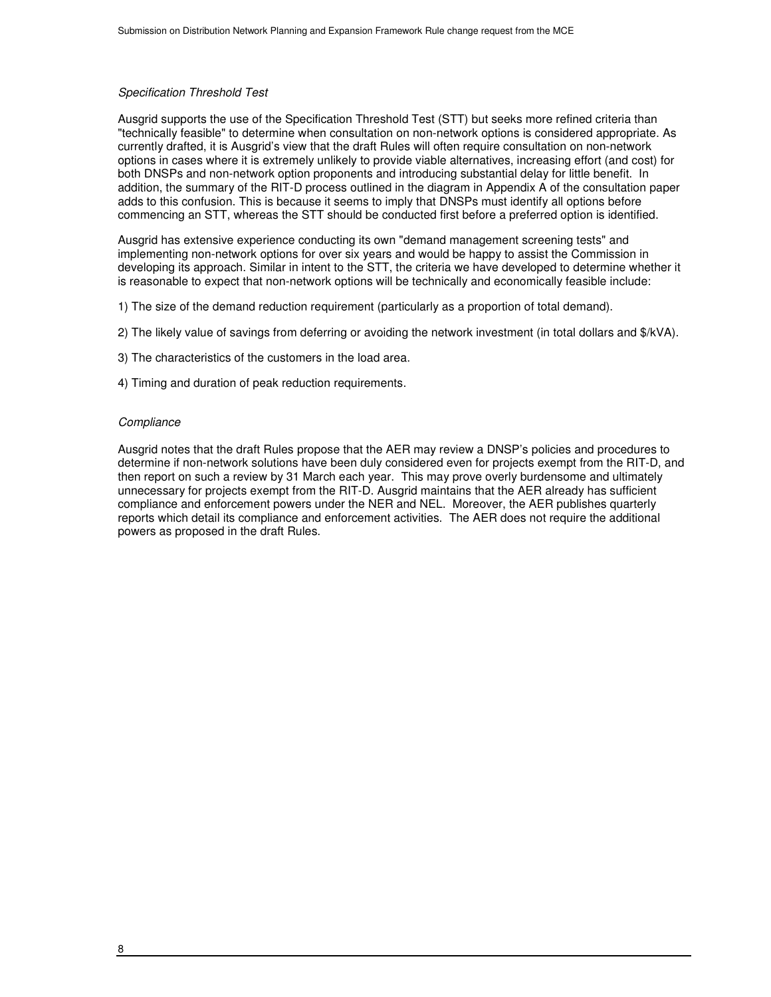# Specification Threshold Test

Ausgrid supports the use of the Specification Threshold Test (STT) but seeks more refined criteria than "technically feasible" to determine when consultation on non-network options is considered appropriate. As currently drafted, it is Ausgrid's view that the draft Rules will often require consultation on non-network options in cases where it is extremely unlikely to provide viable alternatives, increasing effort (and cost) for both DNSPs and non-network option proponents and introducing substantial delay for little benefit. In addition, the summary of the RIT-D process outlined in the diagram in Appendix A of the consultation paper adds to this confusion. This is because it seems to imply that DNSPs must identify all options before commencing an STT, whereas the STT should be conducted first before a preferred option is identified.

Ausgrid has extensive experience conducting its own "demand management screening tests" and implementing non-network options for over six years and would be happy to assist the Commission in developing its approach. Similar in intent to the STT, the criteria we have developed to determine whether it is reasonable to expect that non-network options will be technically and economically feasible include:

- 1) The size of the demand reduction requirement (particularly as a proportion of total demand).
- 2) The likely value of savings from deferring or avoiding the network investment (in total dollars and \$/kVA).
- 3) The characteristics of the customers in the load area.
- 4) Timing and duration of peak reduction requirements.

### **Compliance**

Ausgrid notes that the draft Rules propose that the AER may review a DNSP's policies and procedures to determine if non-network solutions have been duly considered even for projects exempt from the RIT-D, and then report on such a review by 31 March each year. This may prove overly burdensome and ultimately unnecessary for projects exempt from the RIT-D. Ausgrid maintains that the AER already has sufficient compliance and enforcement powers under the NER and NEL. Moreover, the AER publishes quarterly reports which detail its compliance and enforcement activities. The AER does not require the additional powers as proposed in the draft Rules.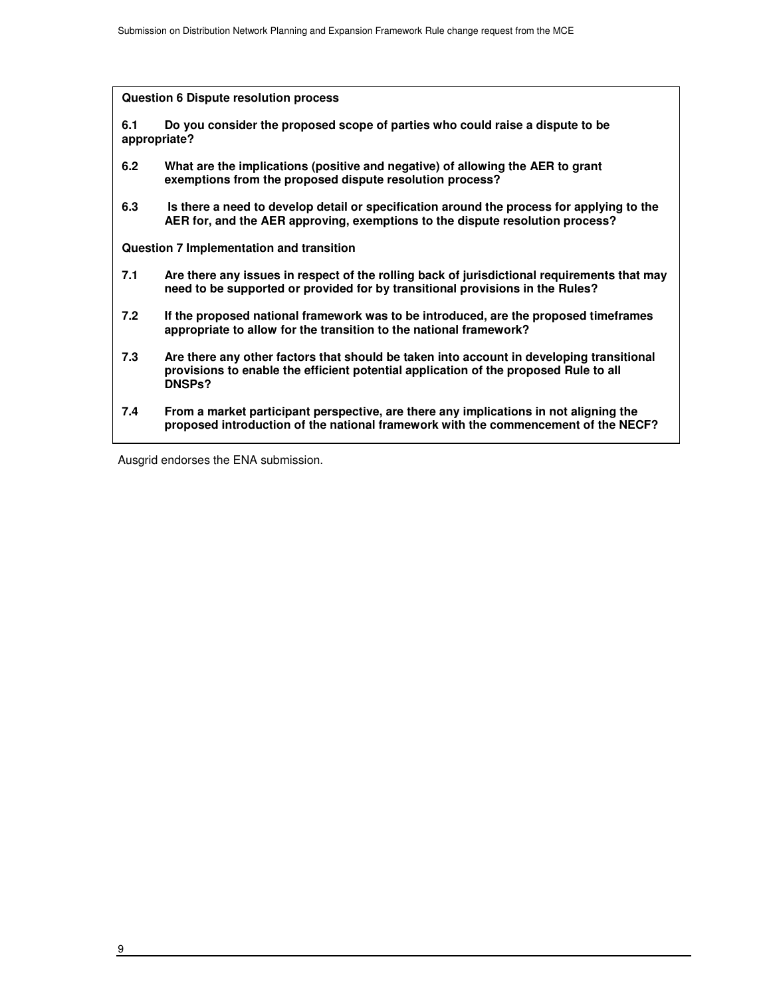**Question 6 Dispute resolution process**

**6.1 Do you consider the proposed scope of parties who could raise a dispute to be appropriate?** 

- **6.2 What are the implications (positive and negative) of allowing the AER to grant exemptions from the proposed dispute resolution process?**
- **6.3 Is there a need to develop detail or specification around the process for applying to the AER for, and the AER approving, exemptions to the dispute resolution process?**

**Question 7 Implementation and transition** 

- **7.1 Are there any issues in respect of the rolling back of jurisdictional requirements that may need to be supported or provided for by transitional provisions in the Rules?**
- **7.2 If the proposed national framework was to be introduced, are the proposed timeframes appropriate to allow for the transition to the national framework?**
- **7.3 Are there any other factors that should be taken into account in developing transitional provisions to enable the efficient potential application of the proposed Rule to all DNSPs?**
- **7.4 From a market participant perspective, are there any implications in not aligning the proposed introduction of the national framework with the commencement of the NECF?**

Ausgrid endorses the ENA submission.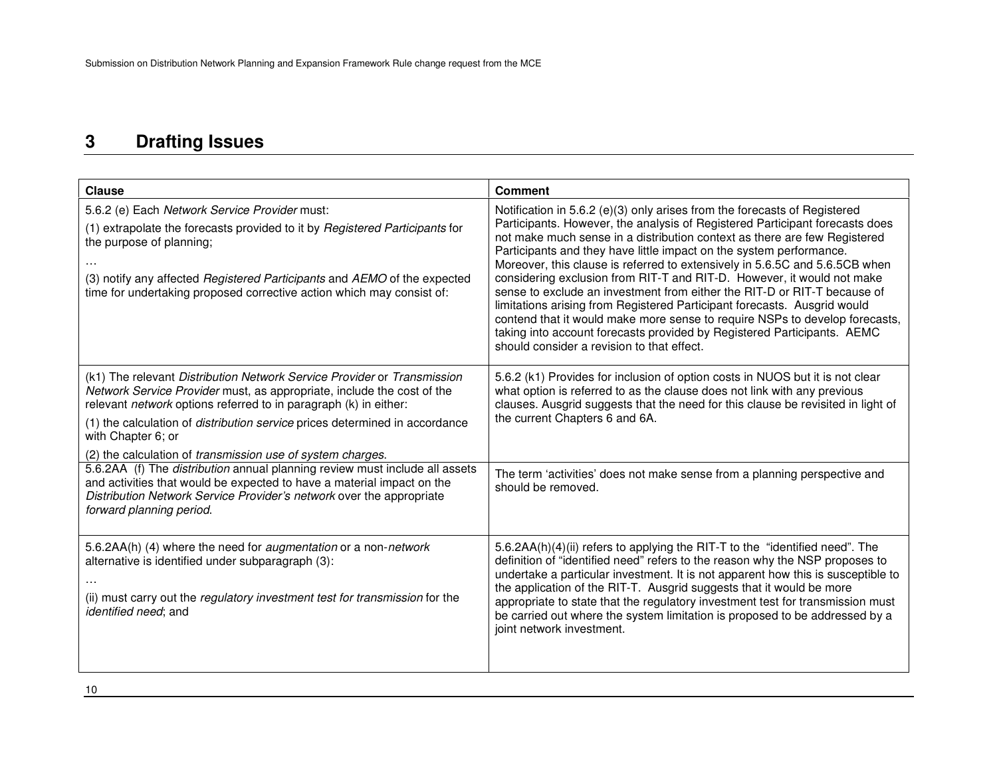<u> 1980 - Johann Barbara, martxa amerikan personal (</u>

# **3 Drafting Issues**

| <b>Clause</b>                                                                                                                                                                                                                                                                                                                                                                                   | <b>Comment</b>                                                                                                                                                                                                                                                                                                                                                                                                                                                                                                                                                                                                                                                                                                                                                                                                                         |
|-------------------------------------------------------------------------------------------------------------------------------------------------------------------------------------------------------------------------------------------------------------------------------------------------------------------------------------------------------------------------------------------------|----------------------------------------------------------------------------------------------------------------------------------------------------------------------------------------------------------------------------------------------------------------------------------------------------------------------------------------------------------------------------------------------------------------------------------------------------------------------------------------------------------------------------------------------------------------------------------------------------------------------------------------------------------------------------------------------------------------------------------------------------------------------------------------------------------------------------------------|
| 5.6.2 (e) Each Network Service Provider must:<br>(1) extrapolate the forecasts provided to it by Registered Participants for<br>the purpose of planning;<br>(3) notify any affected Registered Participants and AEMO of the expected<br>time for undertaking proposed corrective action which may consist of:                                                                                   | Notification in 5.6.2 (e)(3) only arises from the forecasts of Registered<br>Participants. However, the analysis of Registered Participant forecasts does<br>not make much sense in a distribution context as there are few Registered<br>Participants and they have little impact on the system performance.<br>Moreover, this clause is referred to extensively in 5.6.5C and 5.6.5CB when<br>considering exclusion from RIT-T and RIT-D. However, it would not make<br>sense to exclude an investment from either the RIT-D or RIT-T because of<br>limitations arising from Registered Participant forecasts. Ausgrid would<br>contend that it would make more sense to require NSPs to develop forecasts,<br>taking into account forecasts provided by Registered Participants. AEMC<br>should consider a revision to that effect. |
| (k1) The relevant Distribution Network Service Provider or Transmission<br>Network Service Provider must, as appropriate, include the cost of the<br>relevant network options referred to in paragraph (k) in either:<br>(1) the calculation of <i>distribution service</i> prices determined in accordance<br>with Chapter 6; or<br>(2) the calculation of transmission use of system charges. | 5.6.2 (k1) Provides for inclusion of option costs in NUOS but it is not clear<br>what option is referred to as the clause does not link with any previous<br>clauses. Ausgrid suggests that the need for this clause be revisited in light of<br>the current Chapters 6 and 6A.                                                                                                                                                                                                                                                                                                                                                                                                                                                                                                                                                        |
| 5.6.2AA (f) The distribution annual planning review must include all assets<br>and activities that would be expected to have a material impact on the<br>Distribution Network Service Provider's network over the appropriate<br>forward planning period.                                                                                                                                       | The term 'activities' does not make sense from a planning perspective and<br>should be removed.                                                                                                                                                                                                                                                                                                                                                                                                                                                                                                                                                                                                                                                                                                                                        |
| 5.6.2AA(h) (4) where the need for augmentation or a non-network<br>alternative is identified under subparagraph (3):<br>(ii) must carry out the regulatory investment test for transmission for the<br>identified need; and                                                                                                                                                                     | 5.6.2AA(h)(4)(ii) refers to applying the RIT-T to the "identified need". The<br>definition of "identified need" refers to the reason why the NSP proposes to<br>undertake a particular investment. It is not apparent how this is susceptible to<br>the application of the RIT-T. Ausgrid suggests that it would be more<br>appropriate to state that the regulatory investment test for transmission must<br>be carried out where the system limitation is proposed to be addressed by a<br>joint network investment.                                                                                                                                                                                                                                                                                                                 |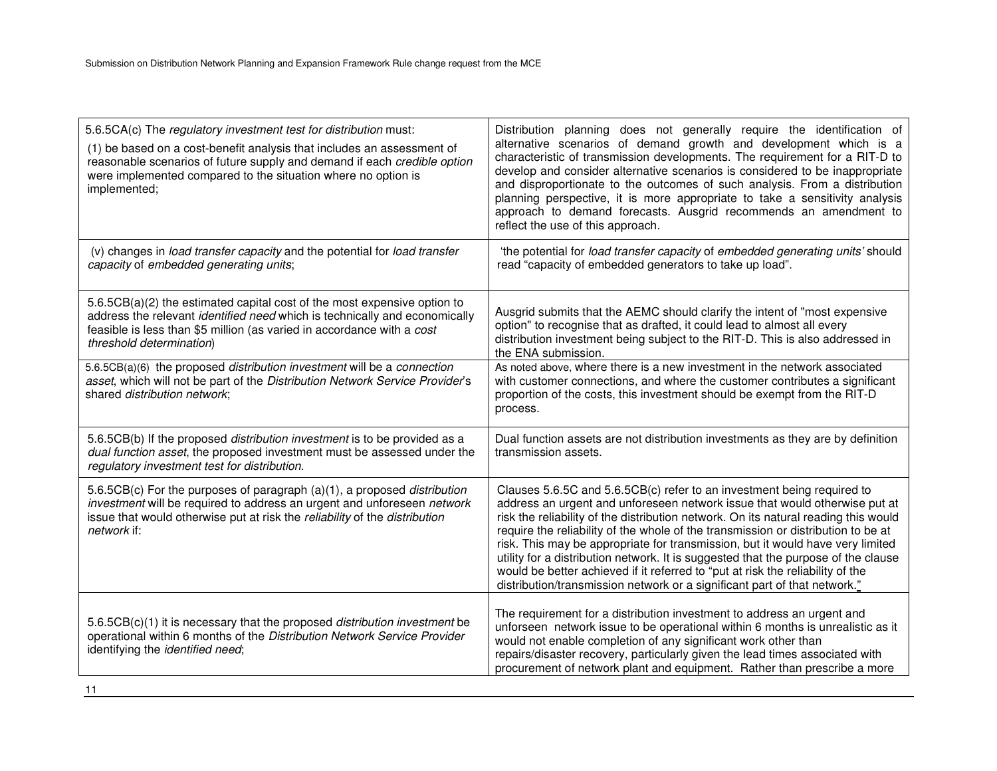| 5.6.5CA(c) The regulatory investment test for distribution must:<br>(1) be based on a cost-benefit analysis that includes an assessment of<br>reasonable scenarios of future supply and demand if each credible option<br>were implemented compared to the situation where no option is<br>implemented; | Distribution planning does not generally require the identification of<br>alternative scenarios of demand growth and development which is a<br>characteristic of transmission developments. The requirement for a RIT-D to<br>develop and consider alternative scenarios is considered to be inappropriate<br>and disproportionate to the outcomes of such analysis. From a distribution<br>planning perspective, it is more appropriate to take a sensitivity analysis<br>approach to demand forecasts. Ausgrid recommends an amendment to<br>reflect the use of this approach.                                                                                        |
|---------------------------------------------------------------------------------------------------------------------------------------------------------------------------------------------------------------------------------------------------------------------------------------------------------|-------------------------------------------------------------------------------------------------------------------------------------------------------------------------------------------------------------------------------------------------------------------------------------------------------------------------------------------------------------------------------------------------------------------------------------------------------------------------------------------------------------------------------------------------------------------------------------------------------------------------------------------------------------------------|
| (v) changes in load transfer capacity and the potential for load transfer<br>capacity of embedded generating units;                                                                                                                                                                                     | 'the potential for load transfer capacity of embedded generating units' should<br>read "capacity of embedded generators to take up load".                                                                                                                                                                                                                                                                                                                                                                                                                                                                                                                               |
| 5.6.5CB(a)(2) the estimated capital cost of the most expensive option to<br>address the relevant <i>identified need</i> which is technically and economically<br>feasible is less than \$5 million (as varied in accordance with a cost<br>threshold determination)                                     | Ausgrid submits that the AEMC should clarify the intent of "most expensive"<br>option" to recognise that as drafted, it could lead to almost all every<br>distribution investment being subject to the RIT-D. This is also addressed in<br>the ENA submission.                                                                                                                                                                                                                                                                                                                                                                                                          |
| 5.6.5CB(a)(6) the proposed distribution investment will be a connection<br>asset, which will not be part of the Distribution Network Service Provider's<br>shared distribution network;                                                                                                                 | As noted above, where there is a new investment in the network associated<br>with customer connections, and where the customer contributes a significant<br>proportion of the costs, this investment should be exempt from the RIT-D<br>process.                                                                                                                                                                                                                                                                                                                                                                                                                        |
| 5.6.5CB(b) If the proposed <i>distribution investment</i> is to be provided as a<br>dual function asset, the proposed investment must be assessed under the<br>regulatory investment test for distribution.                                                                                             | Dual function assets are not distribution investments as they are by definition<br>transmission assets.                                                                                                                                                                                                                                                                                                                                                                                                                                                                                                                                                                 |
| 5.6.5CB(c) For the purposes of paragraph (a)(1), a proposed distribution<br>investment will be required to address an urgent and unforeseen network<br>issue that would otherwise put at risk the reliability of the distribution<br>network if:                                                        | Clauses 5.6.5C and 5.6.5CB(c) refer to an investment being required to<br>address an urgent and unforeseen network issue that would otherwise put at<br>risk the reliability of the distribution network. On its natural reading this would<br>require the reliability of the whole of the transmission or distribution to be at<br>risk. This may be appropriate for transmission, but it would have very limited<br>utility for a distribution network. It is suggested that the purpose of the clause<br>would be better achieved if it referred to "put at risk the reliability of the<br>distribution/transmission network or a significant part of that network." |
| 5.6.5CB(c)(1) it is necessary that the proposed distribution investment be<br>operational within 6 months of the Distribution Network Service Provider<br>identifying the identified need;                                                                                                              | The requirement for a distribution investment to address an urgent and<br>unforseen network issue to be operational within 6 months is unrealistic as it<br>would not enable completion of any significant work other than<br>repairs/disaster recovery, particularly given the lead times associated with<br>procurement of network plant and equipment. Rather than prescribe a more                                                                                                                                                                                                                                                                                  |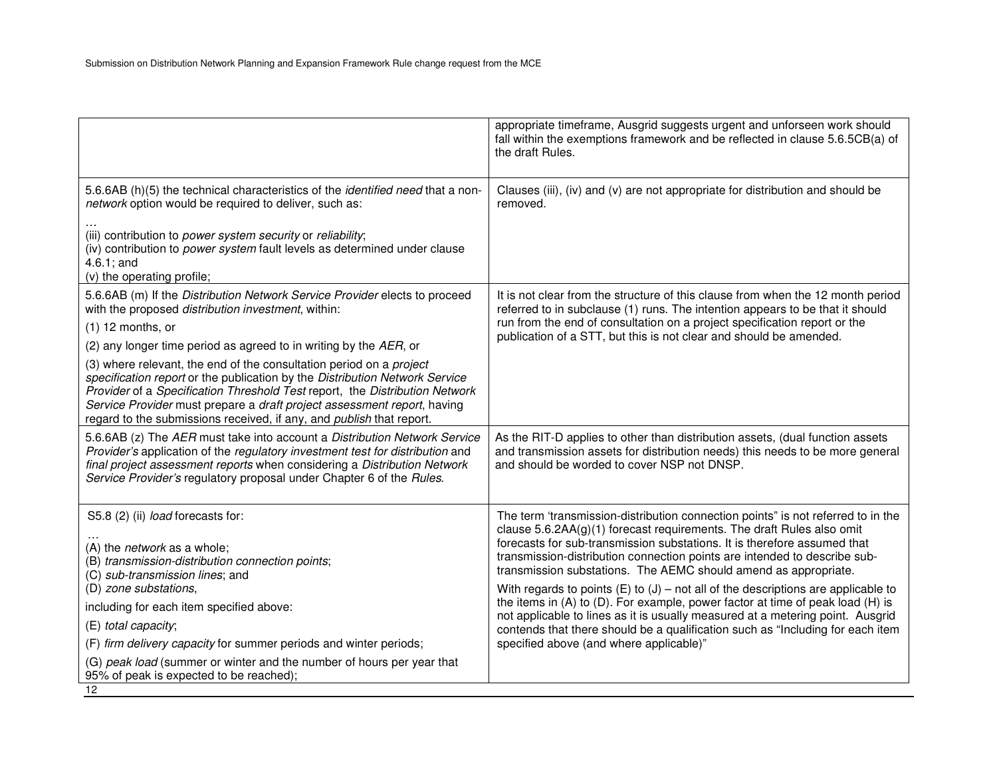|                                                                                                                                                                                                                                                                                                                                                                                             | appropriate timeframe, Ausgrid suggests urgent and unforseen work should<br>fall within the exemptions framework and be reflected in clause 5.6.5CB(a) of<br>the draft Rules.                                                                                                                                                                                                           |
|---------------------------------------------------------------------------------------------------------------------------------------------------------------------------------------------------------------------------------------------------------------------------------------------------------------------------------------------------------------------------------------------|-----------------------------------------------------------------------------------------------------------------------------------------------------------------------------------------------------------------------------------------------------------------------------------------------------------------------------------------------------------------------------------------|
| 5.6.6AB (h)(5) the technical characteristics of the <i>identified need</i> that a non-<br>network option would be required to deliver, such as:                                                                                                                                                                                                                                             | Clauses (iii), (iv) and (v) are not appropriate for distribution and should be<br>removed.                                                                                                                                                                                                                                                                                              |
| (iii) contribution to power system security or reliability;<br>(iv) contribution to power system fault levels as determined under clause<br>$4.6.1$ ; and<br>(v) the operating profile;                                                                                                                                                                                                     |                                                                                                                                                                                                                                                                                                                                                                                         |
| 5.6.6AB (m) If the Distribution Network Service Provider elects to proceed<br>with the proposed distribution investment, within:<br>$(1)$ 12 months, or<br>(2) any longer time period as agreed to in writing by the AER, or                                                                                                                                                                | It is not clear from the structure of this clause from when the 12 month period<br>referred to in subclause (1) runs. The intention appears to be that it should<br>run from the end of consultation on a project specification report or the<br>publication of a STT, but this is not clear and should be amended.                                                                     |
| (3) where relevant, the end of the consultation period on a project<br>specification report or the publication by the Distribution Network Service<br>Provider of a Specification Threshold Test report, the Distribution Network<br>Service Provider must prepare a draft project assessment report, having<br>regard to the submissions received, if any, and <i>publish</i> that report. |                                                                                                                                                                                                                                                                                                                                                                                         |
| 5.6.6AB (z) The AER must take into account a Distribution Network Service<br>Provider's application of the regulatory investment test for distribution and<br>final project assessment reports when considering a Distribution Network<br>Service Provider's regulatory proposal under Chapter 6 of the Rules.                                                                              | As the RIT-D applies to other than distribution assets, (dual function assets<br>and transmission assets for distribution needs) this needs to be more general<br>and should be worded to cover NSP not DNSP.                                                                                                                                                                           |
| S5.8 (2) (ii) load forecasts for:<br>(A) the <i>network</i> as a whole;<br>(B) transmission-distribution connection points;<br>(C) sub-transmission lines; and                                                                                                                                                                                                                              | The term 'transmission-distribution connection points" is not referred to in the<br>clause $5.6.2AA(g)(1)$ forecast requirements. The draft Rules also omit<br>forecasts for sub-transmission substations. It is therefore assumed that<br>transmission-distribution connection points are intended to describe sub-<br>transmission substations. The AEMC should amend as appropriate. |
| (D) zone substations,<br>including for each item specified above:<br>(E) total capacity;                                                                                                                                                                                                                                                                                                    | With regards to points $(E)$ to $(J)$ – not all of the descriptions are applicable to<br>the items in (A) to (D). For example, power factor at time of peak load (H) is<br>not applicable to lines as it is usually measured at a metering point. Ausgrid<br>contends that there should be a qualification such as "Including for each item                                             |
| (F) firm delivery capacity for summer periods and winter periods;<br>(G) peak load (summer or winter and the number of hours per year that<br>95% of peak is expected to be reached);<br>12                                                                                                                                                                                                 | specified above (and where applicable)"                                                                                                                                                                                                                                                                                                                                                 |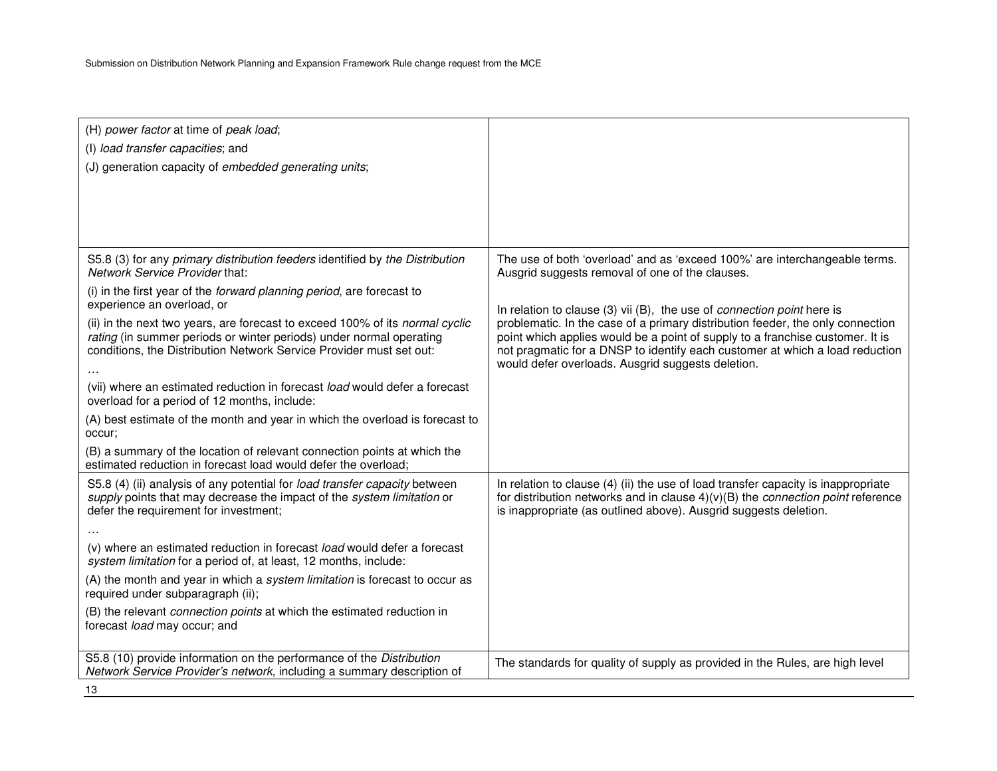Submission on Distribution Network Planning and Expansion Framework Rule change request from the MCE

| (H) power factor at time of peak load;                                                                                                                                                        |                                                                                                                                                                                                                                                   |
|-----------------------------------------------------------------------------------------------------------------------------------------------------------------------------------------------|---------------------------------------------------------------------------------------------------------------------------------------------------------------------------------------------------------------------------------------------------|
| (I) load transfer capacities; and                                                                                                                                                             |                                                                                                                                                                                                                                                   |
| (J) generation capacity of embedded generating units;                                                                                                                                         |                                                                                                                                                                                                                                                   |
|                                                                                                                                                                                               |                                                                                                                                                                                                                                                   |
|                                                                                                                                                                                               |                                                                                                                                                                                                                                                   |
|                                                                                                                                                                                               |                                                                                                                                                                                                                                                   |
|                                                                                                                                                                                               |                                                                                                                                                                                                                                                   |
| S5.8 (3) for any primary distribution feeders identified by the Distribution<br>Network Service Provider that:                                                                                | The use of both 'overload' and as 'exceed 100%' are interchangeable terms.<br>Ausgrid suggests removal of one of the clauses.                                                                                                                     |
| (i) in the first year of the forward planning period, are forecast to<br>experience an overload, or                                                                                           | In relation to clause (3) vii (B), the use of connection point here is                                                                                                                                                                            |
| (ii) in the next two years, are forecast to exceed 100% of its normal cyclic                                                                                                                  | problematic. In the case of a primary distribution feeder, the only connection                                                                                                                                                                    |
| rating (in summer periods or winter periods) under normal operating                                                                                                                           | point which applies would be a point of supply to a franchise customer. It is                                                                                                                                                                     |
| conditions, the Distribution Network Service Provider must set out:                                                                                                                           | not pragmatic for a DNSP to identify each customer at which a load reduction                                                                                                                                                                      |
|                                                                                                                                                                                               | would defer overloads. Ausgrid suggests deletion.                                                                                                                                                                                                 |
| (vii) where an estimated reduction in forecast load would defer a forecast<br>overload for a period of 12 months, include:                                                                    |                                                                                                                                                                                                                                                   |
| (A) best estimate of the month and year in which the overload is forecast to<br>occur;                                                                                                        |                                                                                                                                                                                                                                                   |
| (B) a summary of the location of relevant connection points at which the<br>estimated reduction in forecast load would defer the overload;                                                    |                                                                                                                                                                                                                                                   |
| S5.8 (4) (ii) analysis of any potential for load transfer capacity between<br>supply points that may decrease the impact of the system limitation or<br>defer the requirement for investment; | In relation to clause (4) (ii) the use of load transfer capacity is inappropriate<br>for distribution networks and in clause $4)(v)(B)$ the <i>connection point</i> reference<br>is inappropriate (as outlined above). Ausgrid suggests deletion. |
|                                                                                                                                                                                               |                                                                                                                                                                                                                                                   |
| (v) where an estimated reduction in forecast load would defer a forecast<br>system limitation for a period of, at least, 12 months, include:                                                  |                                                                                                                                                                                                                                                   |
| (A) the month and year in which a system limitation is forecast to occur as<br>required under subparagraph (ii);                                                                              |                                                                                                                                                                                                                                                   |
| (B) the relevant connection points at which the estimated reduction in<br>forecast load may occur; and                                                                                        |                                                                                                                                                                                                                                                   |
| S5.8 (10) provide information on the performance of the Distribution                                                                                                                          |                                                                                                                                                                                                                                                   |
| Network Service Provider's network, including a summary description of                                                                                                                        | The standards for quality of supply as provided in the Rules, are high level                                                                                                                                                                      |
| 13                                                                                                                                                                                            |                                                                                                                                                                                                                                                   |